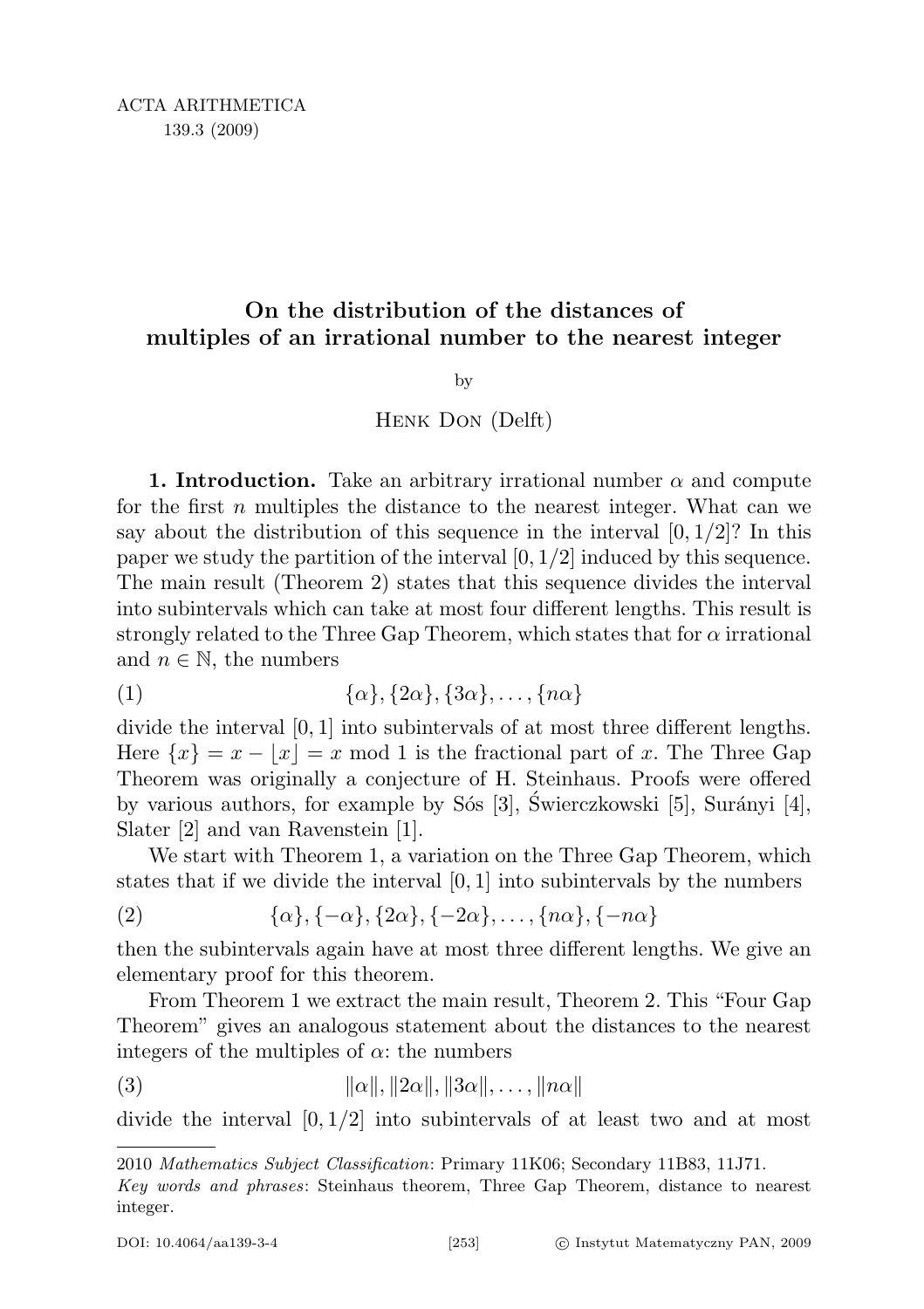## On the distribution of the distances of multiples of an irrational number to the nearest integer

by

## Henk Don (Delft)

1. Introduction. Take an arbitrary irrational number  $\alpha$  and compute for the first  $n$  multiples the distance to the nearest integer. What can we say about the distribution of this sequence in the interval  $[0, 1/2]$ ? In this paper we study the partition of the interval  $[0, 1/2]$  induced by this sequence. The main result (Theorem 2) states that this sequence divides the interval into subintervals which can take at most four different lengths. This result is strongly related to the Three Gap Theorem, which states that for  $\alpha$  irrational and  $n \in \mathbb{N}$ , the numbers

$$
(1) \qquad \qquad {\alpha}, {\{2\alpha\}, \{3\alpha\}, \ldots, \{n\alpha\}}
$$

divide the interval [0, 1] into subintervals of at most three different lengths. Here  $\{x\} = x - |x| = x \mod 1$  is the fractional part of x. The Three Gap Theorem was originally a conjecture of H. Steinhaus. Proofs were offered by various authors, for example by S<sup>os</sup> [3], Swierczkowski [5], Surányi [4], Slater [2] and van Ravenstein [1].

We start with Theorem 1, a variation on the Three Gap Theorem, which states that if we divide the interval  $[0, 1]$  into subintervals by the numbers

$$
(2) \qquad \qquad \{\alpha\}, \{-\alpha\}, \{2\alpha\}, \{-2\alpha\}, \dots, \{n\alpha\}, \{-n\alpha\}
$$

then the subintervals again have at most three different lengths. We give an elementary proof for this theorem.

From Theorem 1 we extract the main result, Theorem 2. This "Four Gap Theorem" gives an analogous statement about the distances to the nearest integers of the multiples of  $\alpha$ : the numbers

(3) 
$$
\|\alpha\|, \|2\alpha\|, \|3\alpha\|, \ldots, \|n\alpha\|
$$

divide the interval  $[0, 1/2]$  into subintervals of at least two and at most

<sup>2010</sup> Mathematics Subject Classification: Primary 11K06; Secondary 11B83, 11J71.

Key words and phrases: Steinhaus theorem, Three Gap Theorem, distance to nearest integer.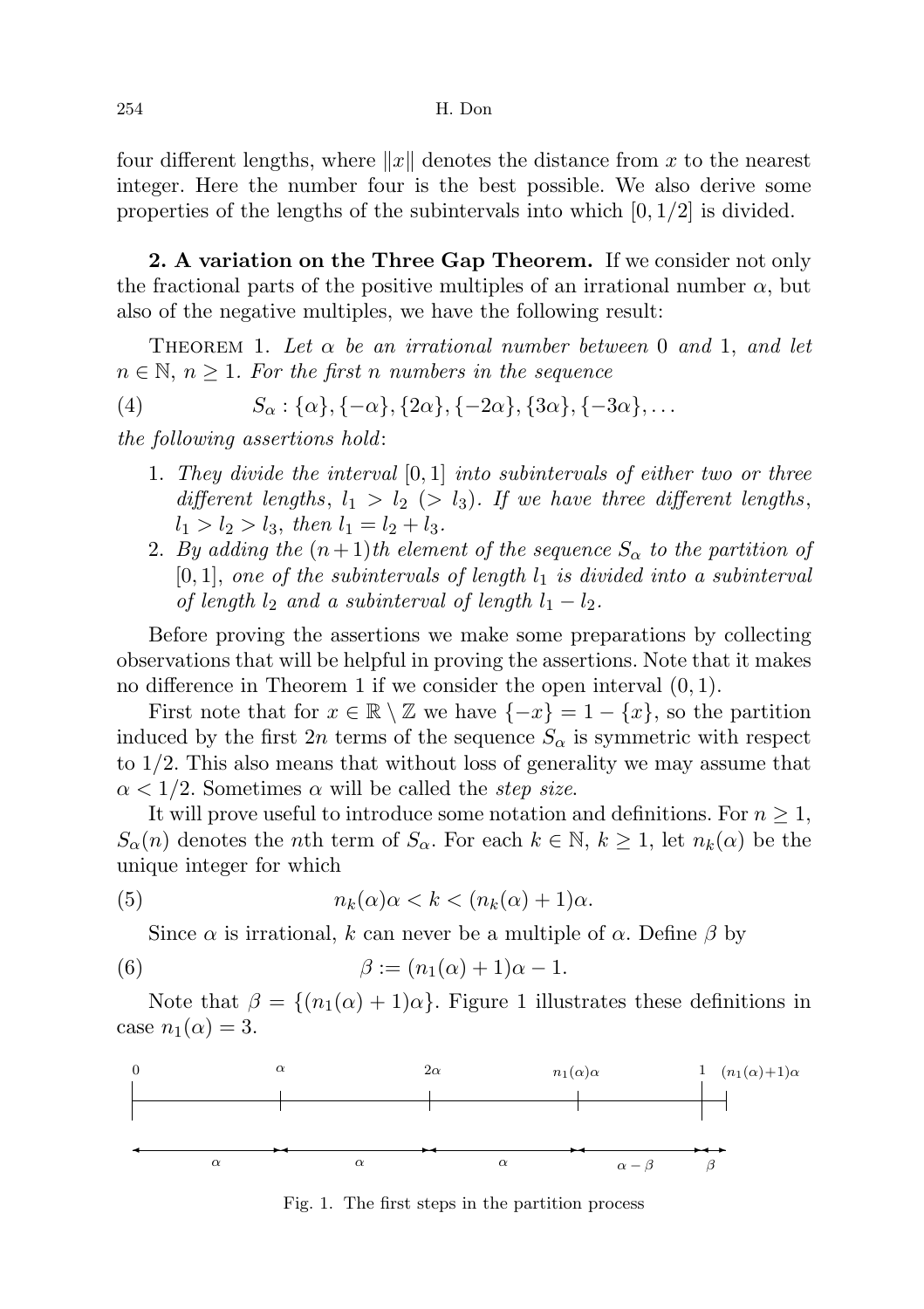four different lengths, where  $||x||$  denotes the distance from x to the nearest integer. Here the number four is the best possible. We also derive some properties of the lengths of the subintervals into which  $[0, 1/2]$  is divided.

2. A variation on the Three Gap Theorem. If we consider not only the fractional parts of the positive multiples of an irrational number  $\alpha$ , but also of the negative multiples, we have the following result:

THEOREM 1. Let  $\alpha$  be an irrational number between 0 and 1, and let  $n \in \mathbb{N}, n \geq 1$ . For the first n numbers in the sequence

(4) 
$$
S_{\alpha}: {\alpha}, {-\alpha}, {2\alpha}, {-2\alpha}, {3\alpha}, {-3\alpha}, ...
$$

the following assertions hold:

- 1. They divide the interval  $[0,1]$  into subintervals of either two or three different lengths,  $l_1 > l_2$  ( $> l_3$ ). If we have three different lengths,  $l_1 > l_2 > l_3$ , then  $l_1 = l_2 + l_3$ .
- 2. By adding the  $(n+1)$ th element of the sequence  $S_{\alpha}$  to the partition of  $[0, 1]$ , one of the subintervals of length  $l_1$  is divided into a subinterval of length  $l_2$  and a subinterval of length  $l_1 - l_2$ .

Before proving the assertions we make some preparations by collecting observations that will be helpful in proving the assertions. Note that it makes no difference in Theorem 1 if we consider the open interval (0, 1).

First note that for  $x \in \mathbb{R} \setminus \mathbb{Z}$  we have  $\{-x\} = 1 - \{x\}$ , so the partition induced by the first  $2n$  terms of the sequence  $S_{\alpha}$  is symmetric with respect to 1/2. This also means that without loss of generality we may assume that  $\alpha$  < 1/2. Sometimes  $\alpha$  will be called the *step size*.

It will prove useful to introduce some notation and definitions. For  $n \geq 1$ ,  $S_{\alpha}(n)$  denotes the *n*th term of  $S_{\alpha}$ . For each  $k \in \mathbb{N}$ ,  $k \geq 1$ , let  $n_k(\alpha)$  be the unique integer for which

(5) 
$$
n_k(\alpha)\alpha < k < (n_k(\alpha) + 1)\alpha.
$$

Since  $\alpha$  is irrational, k can never be a multiple of  $\alpha$ . Define  $\beta$  by

(6) 
$$
\beta := (n_1(\alpha) + 1)\alpha - 1.
$$

Note that  $\beta = \{(n_1(\alpha) + 1)\alpha\}$ . Figure 1 illustrates these definitions in case  $n_1(\alpha) = 3$ .



Fig. 1. The first steps in the partition process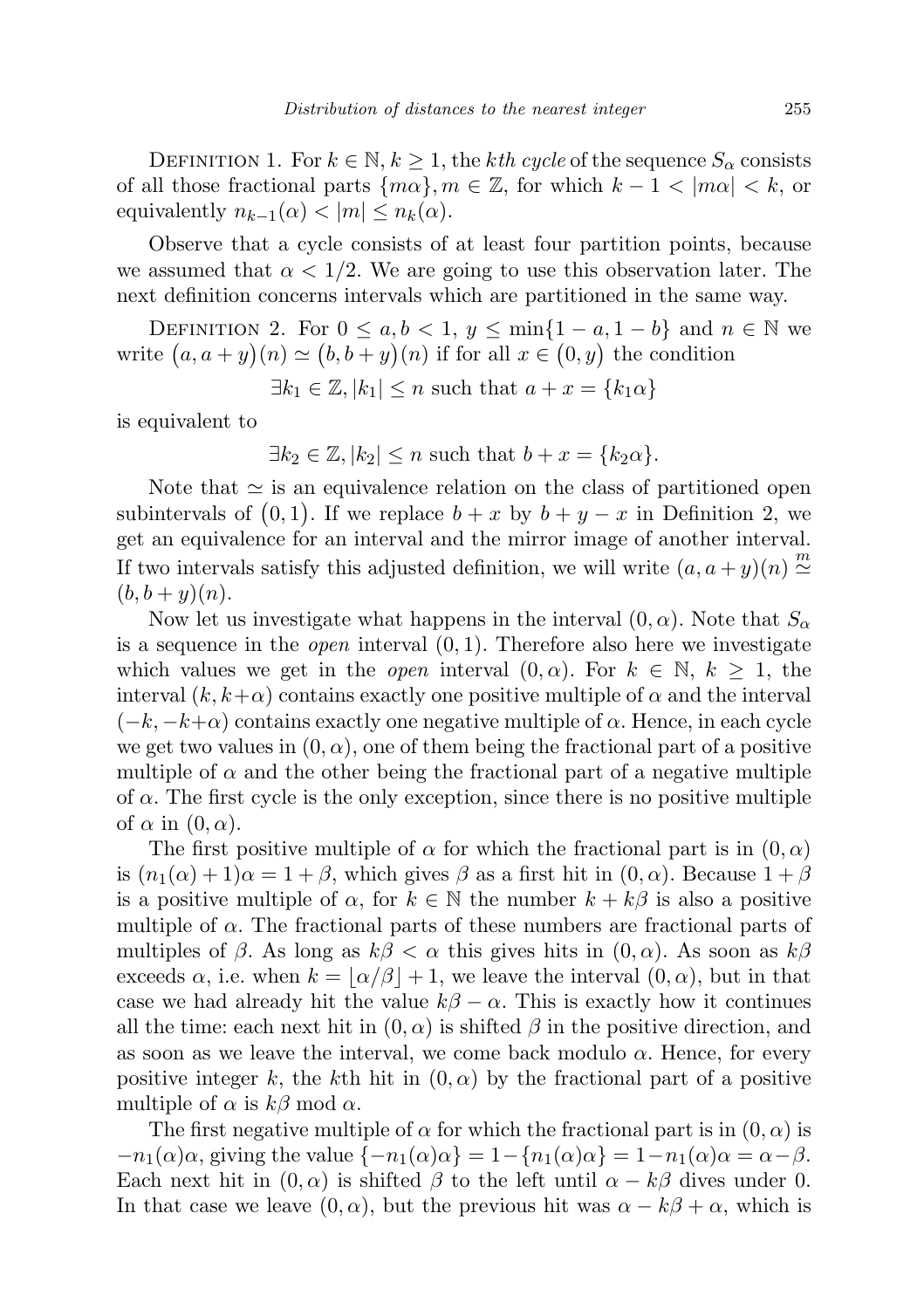DEFINITION 1. For  $k \in \mathbb{N}, k \geq 1$ , the kth cycle of the sequence  $S_\alpha$  consists of all those fractional parts  $\{m\alpha\}, m \in \mathbb{Z}$ , for which  $k - 1 < |m\alpha| < k$ , or equivalently  $n_{k-1}(\alpha) < |m| \leq n_k(\alpha)$ .

Observe that a cycle consists of at least four partition points, because we assumed that  $\alpha < 1/2$ . We are going to use this observation later. The next definition concerns intervals which are partitioned in the same way.

DEFINITION 2. For  $0 \le a, b < 1, y \le \min\{1 - a, 1 - b\}$  and  $n \in \mathbb{N}$  we write  $(a, a + y)(n) \simeq (b, b + y)(n)$  if for all  $x \in (0, y)$  the condition

 $\exists k_1 \in \mathbb{Z}, |k_1| \leq n \text{ such that } a + x = \{k_1 \alpha\}$ 

is equivalent to

$$
\exists k_2 \in \mathbb{Z}, |k_2| \le n \text{ such that } b + x = \{k_2 \alpha\}.
$$

Note that  $\simeq$  is an equivalence relation on the class of partitioned open subintervals of  $(0,1)$ . If we replace  $b + x$  by  $b + y - x$  in Definition 2, we get an equivalence for an interval and the mirror image of another interval. If two intervals satisfy this adjusted definition, we will write  $(a, a + y)(n) \stackrel{m}{\simeq}$  $(b, b + y)(n)$ .

Now let us investigate what happens in the interval  $(0, \alpha)$ . Note that  $S_{\alpha}$ is a sequence in the *open* interval  $(0, 1)$ . Therefore also here we investigate which values we get in the *open* interval  $(0, \alpha)$ . For  $k \in \mathbb{N}$ ,  $k \geq 1$ , the interval  $(k, k+\alpha)$  contains exactly one positive multiple of  $\alpha$  and the interval  $(-k, -k+\alpha)$  contains exactly one negative multiple of  $\alpha$ . Hence, in each cycle we get two values in  $(0, \alpha)$ , one of them being the fractional part of a positive multiple of  $\alpha$  and the other being the fractional part of a negative multiple of  $\alpha$ . The first cycle is the only exception, since there is no positive multiple of  $\alpha$  in  $(0, \alpha)$ .

The first positive multiple of  $\alpha$  for which the fractional part is in  $(0, \alpha)$ is  $(n_1(\alpha) + 1)\alpha = 1 + \beta$ , which gives  $\beta$  as a first hit in  $(0, \alpha)$ . Because  $1 + \beta$ is a positive multiple of  $\alpha$ , for  $k \in \mathbb{N}$  the number  $k + k\beta$  is also a positive multiple of  $\alpha$ . The fractional parts of these numbers are fractional parts of multiples of  $\beta$ . As long as  $k\beta < \alpha$  this gives hits in  $(0, \alpha)$ . As soon as  $k\beta$ exceeds  $\alpha$ , i.e. when  $k = |\alpha/\beta| + 1$ , we leave the interval  $(0, \alpha)$ , but in that case we had already hit the value  $k\beta - \alpha$ . This is exactly how it continues all the time: each next hit in  $(0, \alpha)$  is shifted  $\beta$  in the positive direction, and as soon as we leave the interval, we come back modulo  $\alpha$ . Hence, for every positive integer k, the kth hit in  $(0, \alpha)$  by the fractional part of a positive multiple of  $\alpha$  is  $k\beta$  mod  $\alpha$ .

The first negative multiple of  $\alpha$  for which the fractional part is in  $(0, \alpha)$  is  $-n_1(\alpha)\alpha$ , giving the value  $\{-n_1(\alpha)\alpha\} = 1 - \{n_1(\alpha)\alpha\} = 1 - n_1(\alpha)\alpha = \alpha - \beta$ . Each next hit in  $(0, \alpha)$  is shifted  $\beta$  to the left until  $\alpha - k\beta$  dives under 0. In that case we leave  $(0, \alpha)$ , but the previous hit was  $\alpha - k\beta + \alpha$ , which is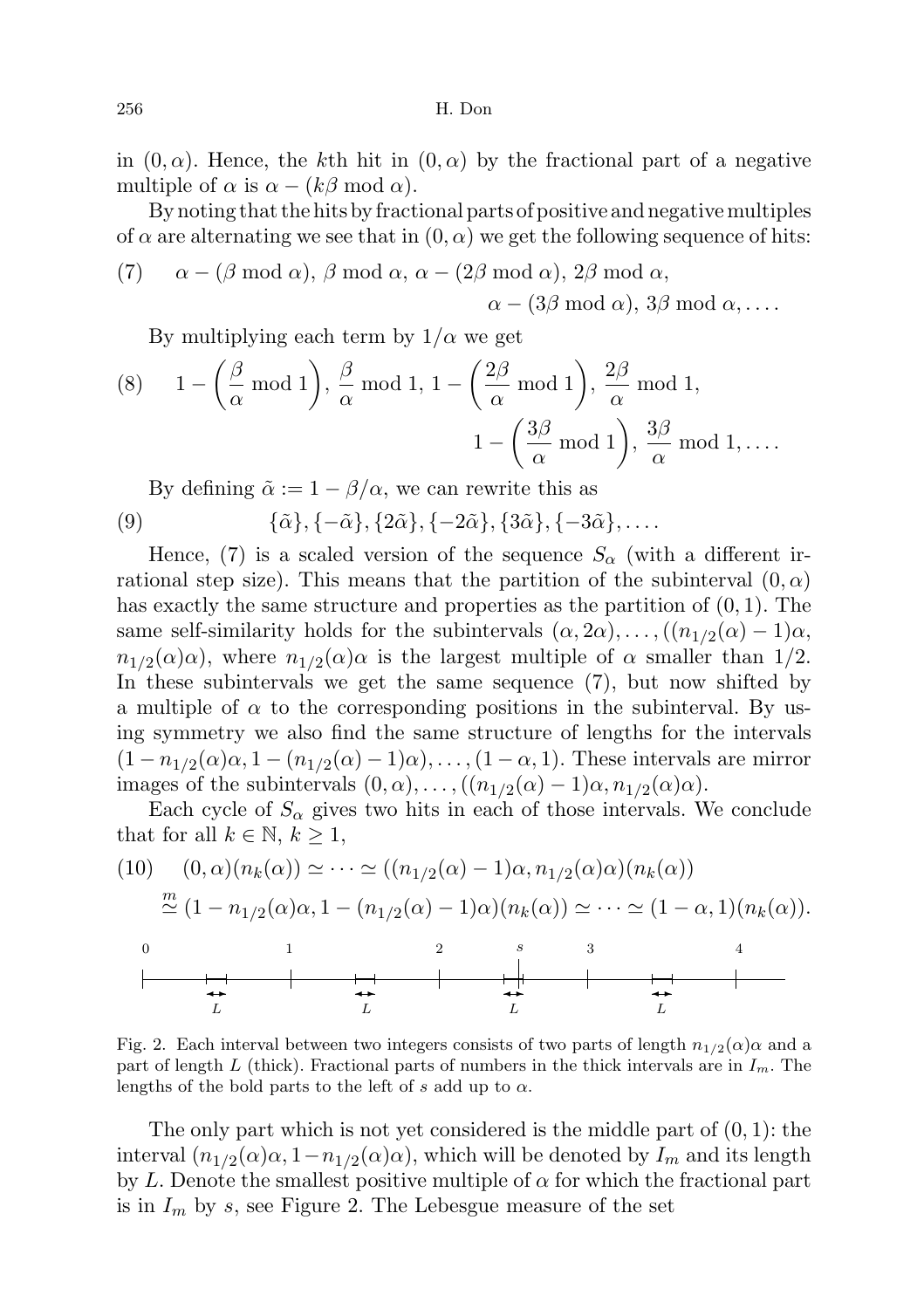256 H. Don

in  $(0, \alpha)$ . Hence, the kth hit in  $(0, \alpha)$  by the fractional part of a negative multiple of  $\alpha$  is  $\alpha - (k\beta \mod \alpha)$ .

By noting that the hits by fractional parts of positive and negative multiples of  $\alpha$  are alternating we see that in  $(0, \alpha)$  we get the following sequence of hits:

(7) 
$$
\alpha - (\beta \mod \alpha), \beta \mod \alpha, \alpha - (2\beta \mod \alpha), 2\beta \mod \alpha, \alpha - (3\beta \mod \alpha), 3\beta \mod \alpha, \ldots
$$

By multiplying each term by  $1/\alpha$  we get

(8) 
$$
1 - \left(\frac{\beta}{\alpha} \mod 1\right), \frac{\beta}{\alpha} \mod 1, 1 - \left(\frac{2\beta}{\alpha} \mod 1\right), \frac{2\beta}{\alpha} \mod 1,
$$
  
 $1 - \left(\frac{3\beta}{\alpha} \mod 1\right), \frac{3\beta}{\alpha} \mod 1, \dots$ 

By defining  $\tilde{\alpha} := 1 - \beta/\alpha$ , we can rewrite this as

(9) 
$$
\{\tilde{\alpha}\}, \{-\tilde{\alpha}\}, \{2\tilde{\alpha}\}, \{-2\tilde{\alpha}\}, \{3\tilde{\alpha}\}, \{-3\tilde{\alpha}\}, \ldots
$$

Hence, (7) is a scaled version of the sequence  $S_{\alpha}$  (with a different irrational step size). This means that the partition of the subinterval  $(0, \alpha)$ has exactly the same structure and properties as the partition of  $(0, 1)$ . The same self-similarity holds for the subintervals  $(\alpha, 2\alpha), \ldots, ((n_{1/2}(\alpha) - 1)\alpha,$  $n_{1/2}(\alpha)\alpha$ , where  $n_{1/2}(\alpha)\alpha$  is the largest multiple of  $\alpha$  smaller than 1/2. In these subintervals we get the same sequence (7), but now shifted by a multiple of  $\alpha$  to the corresponding positions in the subinterval. By using symmetry we also find the same structure of lengths for the intervals  $(1 - n_{1/2}(\alpha)\alpha, 1 - (n_{1/2}(\alpha) - 1)\alpha), \ldots, (1 - \alpha, 1)$ . These intervals are mirror images of the subintervals  $(0, \alpha)$ , ...,  $((n_{1/2}(\alpha) - 1)\alpha, n_{1/2}(\alpha)\alpha)$ .

Each cycle of  $S_\alpha$  gives two hits in each of those intervals. We conclude that for all  $k \in \mathbb{N}, k \geq 1$ ,

(10) 
$$
(0, \alpha)(n_k(\alpha)) \simeq \cdots \simeq ((n_{1/2}(\alpha) - 1)\alpha, n_{1/2}(\alpha)\alpha)(n_k(\alpha))
$$

$$
\simeq (1 - n_{1/2}(\alpha)\alpha, 1 - (n_{1/2}(\alpha) - 1)\alpha)(n_k(\alpha)) \simeq \cdots \simeq (1 - \alpha, 1)(n_k(\alpha)).
$$

Fig. 2. Each interval between two integers consists of two parts of length  $n_{1/2}(\alpha)\alpha$  and a part of length  $L$  (thick). Fractional parts of numbers in the thick intervals are in  $I_m$ . The lengths of the bold parts to the left of s add up to  $\alpha$ .

The only part which is not yet considered is the middle part of  $(0, 1)$ : the interval  $(n_{1/2}(\alpha)\alpha, 1-n_{1/2}(\alpha)\alpha)$ , which will be denoted by  $I_m$  and its length by L. Denote the smallest positive multiple of  $\alpha$  for which the fractional part is in  $I_m$  by s, see Figure 2. The Lebesgue measure of the set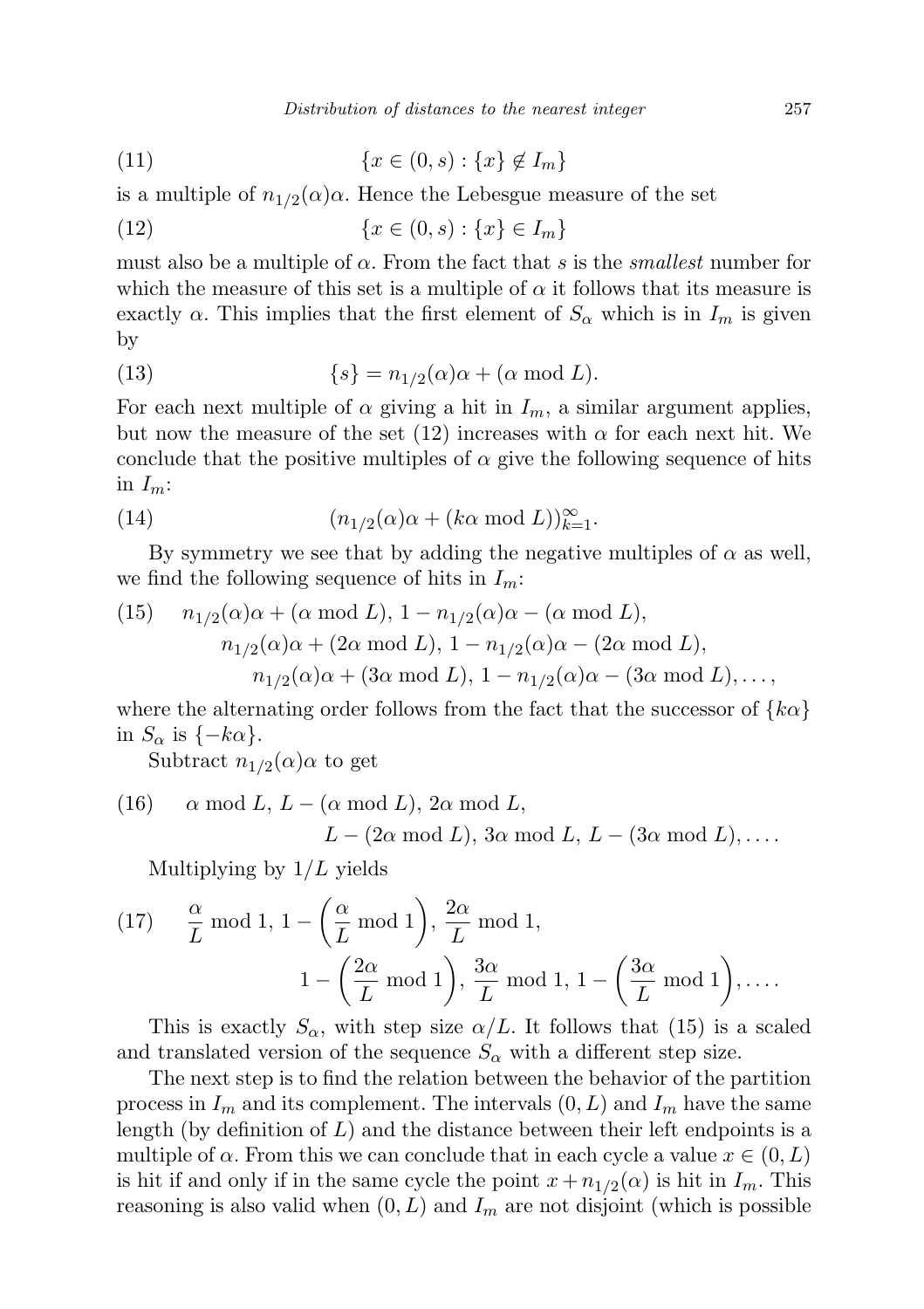(11) 
$$
\{x \in (0, s) : \{x\} \notin I_m\}
$$

is a multiple of  $n_{1/2}(\alpha)\alpha$ . Hence the Lebesgue measure of the set

(12) 
$$
\{x \in (0, s) : \{x\} \in I_m\}
$$

must also be a multiple of  $\alpha$ . From the fact that s is the *smallest* number for which the measure of this set is a multiple of  $\alpha$  it follows that its measure is exactly  $\alpha$ . This implies that the first element of  $S_{\alpha}$  which is in  $I_m$  is given by

(13) 
$$
\{s\} = n_{1/2}(\alpha)\alpha + (\alpha \mod L).
$$

For each next multiple of  $\alpha$  giving a hit in  $I_m$ , a similar argument applies, but now the measure of the set (12) increases with  $\alpha$  for each next hit. We conclude that the positive multiples of  $\alpha$  give the following sequence of hits in  $I_m$ :

(14) 
$$
(n_{1/2}(\alpha)\alpha + (k\alpha \mod L))_{k=1}^{\infty}.
$$

By symmetry we see that by adding the negative multiples of  $\alpha$  as well, we find the following sequence of hits in  $I_m$ :

(15) 
$$
n_{1/2}(\alpha)\alpha + (\alpha \mod L), 1 - n_{1/2}(\alpha)\alpha - (\alpha \mod L),
$$
  
\n $n_{1/2}(\alpha)\alpha + (2\alpha \mod L), 1 - n_{1/2}(\alpha)\alpha - (2\alpha \mod L),$   
\n $n_{1/2}(\alpha)\alpha + (3\alpha \mod L), 1 - n_{1/2}(\alpha)\alpha - (3\alpha \mod L),...,$ 

where the alternating order follows from the fact that the successor of  $\{k\alpha\}$ in  $S_{\alpha}$  is  $\{-k\alpha\}.$ 

Subtract  $n_{1/2}(\alpha)$  to get

(16) 
$$
\alpha \mod L
$$
,  $L - (\alpha \mod L)$ ,  $2\alpha \mod L$ ,  
 $L - (2\alpha \mod L)$ ,  $3\alpha \mod L$ ,  $L - (3\alpha \mod L)$ ,....

Multiplying by  $1/L$  yields

(17) 
$$
\frac{\alpha}{L} \mod 1
$$
,  $1 - \left(\frac{\alpha}{L} \mod 1\right)$ ,  $\frac{2\alpha}{L} \mod 1$ ,  
 $1 - \left(\frac{2\alpha}{L} \mod 1\right)$ ,  $\frac{3\alpha}{L} \mod 1$ ,  $1 - \left(\frac{3\alpha}{L} \mod 1\right)$ ,....

This is exactly  $S_{\alpha}$ , with step size  $\alpha/L$ . It follows that (15) is a scaled and translated version of the sequence  $S_{\alpha}$  with a different step size.

The next step is to find the relation between the behavior of the partition process in  $I_m$  and its complement. The intervals  $(0, L)$  and  $I_m$  have the same length (by definition of  $L$ ) and the distance between their left endpoints is a multiple of  $\alpha$ . From this we can conclude that in each cycle a value  $x \in (0, L)$ is hit if and only if in the same cycle the point  $x + n_{1/2}(\alpha)$  is hit in  $I_m$ . This reasoning is also valid when  $(0, L)$  and  $I_m$  are not disjoint (which is possible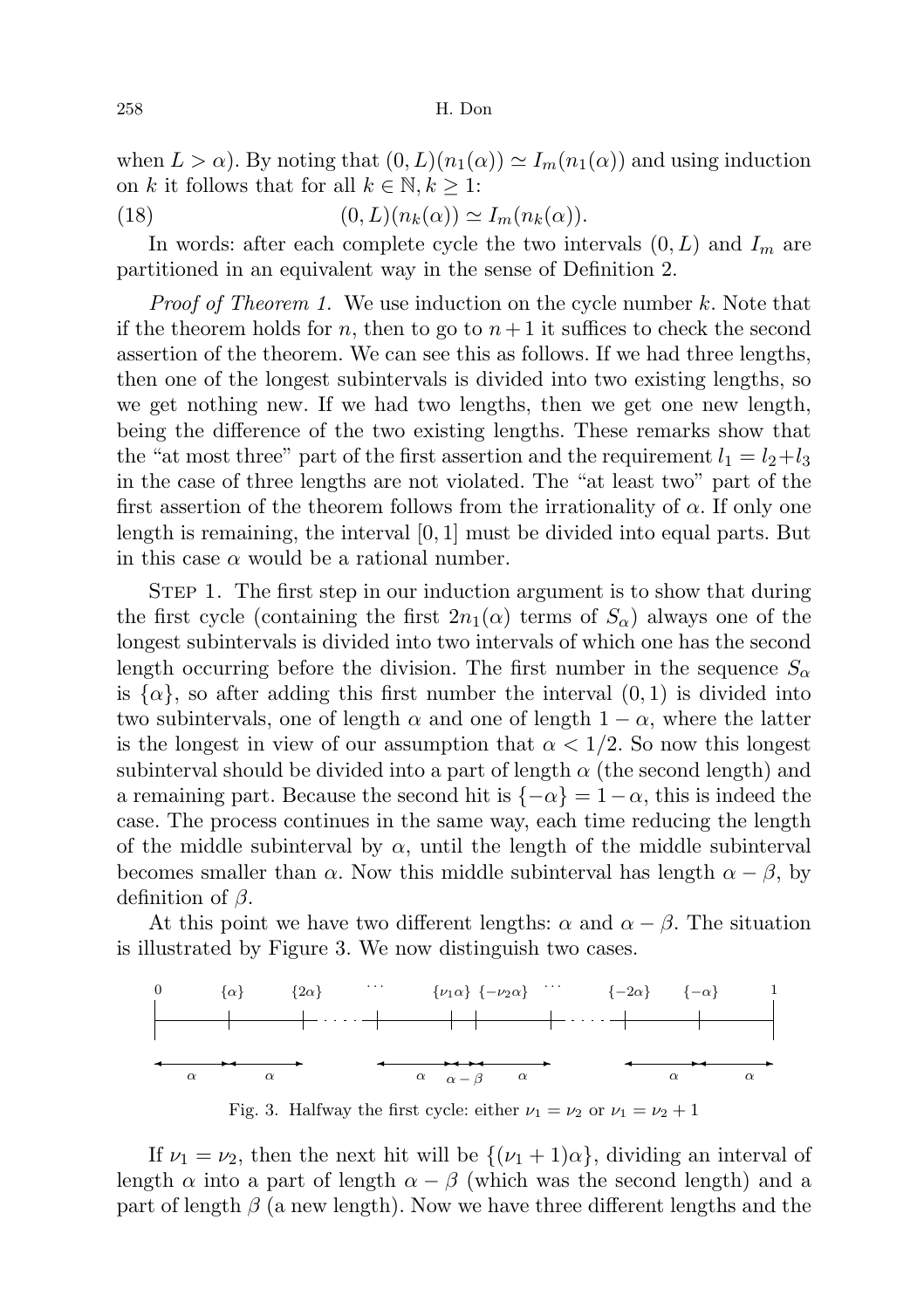258 H. Don

when  $L > \alpha$ ). By noting that  $(0, L)(n_1(\alpha)) \simeq I_m(n_1(\alpha))$  and using induction on k it follows that for all  $k \in \mathbb{N}, k \geq 1$ :

(18) 
$$
(0, L)(n_k(\alpha)) \simeq I_m(n_k(\alpha)).
$$

In words: after each complete cycle the two intervals  $(0, L)$  and  $I_m$  are partitioned in an equivalent way in the sense of Definition 2.

*Proof of Theorem 1.* We use induction on the cycle number k. Note that if the theorem holds for n, then to go to  $n+1$  it suffices to check the second assertion of the theorem. We can see this as follows. If we had three lengths, then one of the longest subintervals is divided into two existing lengths, so we get nothing new. If we had two lengths, then we get one new length, being the difference of the two existing lengths. These remarks show that the "at most three" part of the first assertion and the requirement  $l_1 = l_2 + l_3$ in the case of three lengths are not violated. The "at least two" part of the first assertion of the theorem follows from the irrationality of  $\alpha$ . If only one length is remaining, the interval  $[0, 1]$  must be divided into equal parts. But in this case  $\alpha$  would be a rational number.

Step 1. The first step in our induction argument is to show that during the first cycle (containing the first  $2n_1(\alpha)$  terms of  $S_\alpha$ ) always one of the longest subintervals is divided into two intervals of which one has the second length occurring before the division. The first number in the sequence  $S_{\alpha}$ is  $\{\alpha\}$ , so after adding this first number the interval  $(0, 1)$  is divided into two subintervals, one of length  $\alpha$  and one of length  $1 - \alpha$ , where the latter is the longest in view of our assumption that  $\alpha < 1/2$ . So now this longest subinterval should be divided into a part of length  $\alpha$  (the second length) and a remaining part. Because the second hit is  $\{-\alpha\} = 1 - \alpha$ , this is indeed the case. The process continues in the same way, each time reducing the length of the middle subinterval by  $\alpha$ , until the length of the middle subinterval becomes smaller than  $\alpha$ . Now this middle subinterval has length  $\alpha - \beta$ , by definition of  $\beta$ .

At this point we have two different lengths:  $\alpha$  and  $\alpha - \beta$ . The situation is illustrated by Figure 3. We now distinguish two cases.



Fig. 3. Halfway the first cycle: either  $\nu_1 = \nu_2$  or  $\nu_1 = \nu_2 + 1$ 

If  $\nu_1 = \nu_2$ , then the next hit will be  $\{(\nu_1 + 1)\alpha\}$ , dividing an interval of length  $\alpha$  into a part of length  $\alpha - \beta$  (which was the second length) and a part of length  $\beta$  (a new length). Now we have three different lengths and the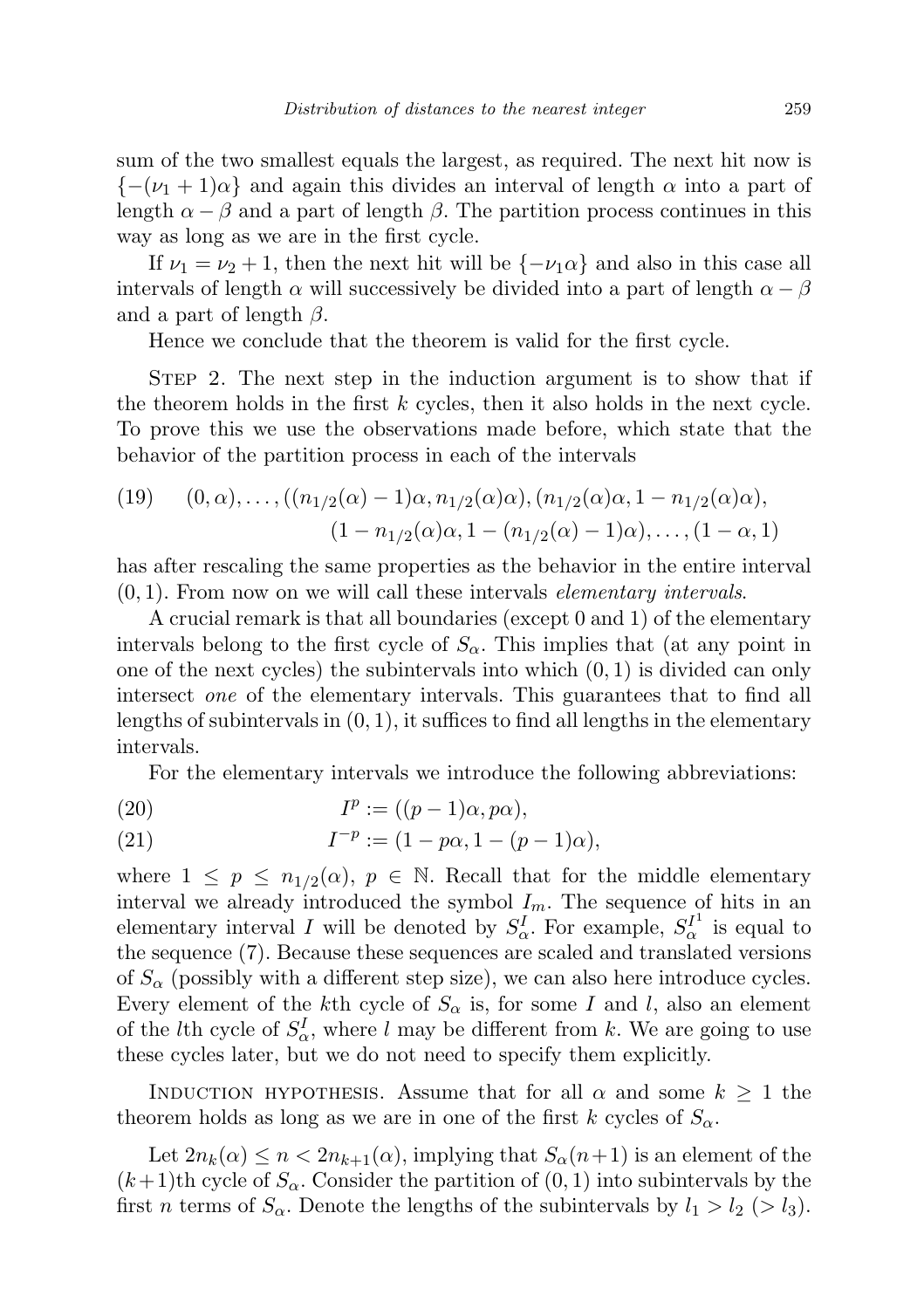sum of the two smallest equals the largest, as required. The next hit now is  ${-\nu_1 + 1}\alpha$  and again this divides an interval of length  $\alpha$  into a part of length  $\alpha - \beta$  and a part of length  $\beta$ . The partition process continues in this way as long as we are in the first cycle.

If  $\nu_1 = \nu_2 + 1$ , then the next hit will be  $\{-\nu_1\alpha\}$  and also in this case all intervals of length  $\alpha$  will successively be divided into a part of length  $\alpha - \beta$ and a part of length  $\beta$ .

Hence we conclude that the theorem is valid for the first cycle.

STEP 2. The next step in the induction argument is to show that if the theorem holds in the first  $k$  cycles, then it also holds in the next cycle. To prove this we use the observations made before, which state that the behavior of the partition process in each of the intervals

(19) 
$$
(0, \alpha),...,((n_{1/2}(\alpha)-1)\alpha, n_{1/2}(\alpha)\alpha), (n_{1/2}(\alpha)\alpha, 1-n_{1/2}(\alpha)\alpha),
$$
  
 $(1-n_{1/2}(\alpha)\alpha, 1-(n_{1/2}(\alpha)-1)\alpha),..., (1-\alpha, 1)$ 

has after rescaling the same properties as the behavior in the entire interval  $(0, 1)$ . From now on we will call these intervals *elementary intervals.* 

A crucial remark is that all boundaries (except 0 and 1) of the elementary intervals belong to the first cycle of  $S_{\alpha}$ . This implies that (at any point in one of the next cycles) the subintervals into which  $(0, 1)$  is divided can only intersect one of the elementary intervals. This guarantees that to find all lengths of subintervals in  $(0, 1)$ , it suffices to find all lengths in the elementary intervals.

For the elementary intervals we introduce the following abbreviations:

(20) 
$$
I^p := ((p-1)\alpha, p\alpha),
$$

(21) 
$$
I^{-p} := (1 - p\alpha, 1 - (p-1)\alpha),
$$

where  $1 \leq p \leq n_{1/2}(\alpha)$ ,  $p \in \mathbb{N}$ . Recall that for the middle elementary interval we already introduced the symbol  $I_m$ . The sequence of hits in an elementary interval I will be denoted by  $S^I_{\alpha}$ . For example,  $S^{I^1}_{\alpha}$  is equal to the sequence (7). Because these sequences are scaled and translated versions of  $S_{\alpha}$  (possibly with a different step size), we can also here introduce cycles. Every element of the kth cycle of  $S_{\alpha}$  is, for some I and l, also an element of the *l*th cycle of  $S^I_\alpha$ , where *l* may be different from *k*. We are going to use these cycles later, but we do not need to specify them explicitly.

INDUCTION HYPOTHESIS. Assume that for all  $\alpha$  and some  $k \geq 1$  the theorem holds as long as we are in one of the first k cycles of  $S_{\alpha}$ .

Let  $2n_k(\alpha) \leq n < 2n_{k+1}(\alpha)$ , implying that  $S_\alpha(n+1)$  is an element of the  $(k+1)$ th cycle of  $S_\alpha$ . Consider the partition of  $(0, 1)$  into subintervals by the first *n* terms of  $S_\alpha$ . Denote the lengths of the subintervals by  $l_1 > l_2 > l_3$ .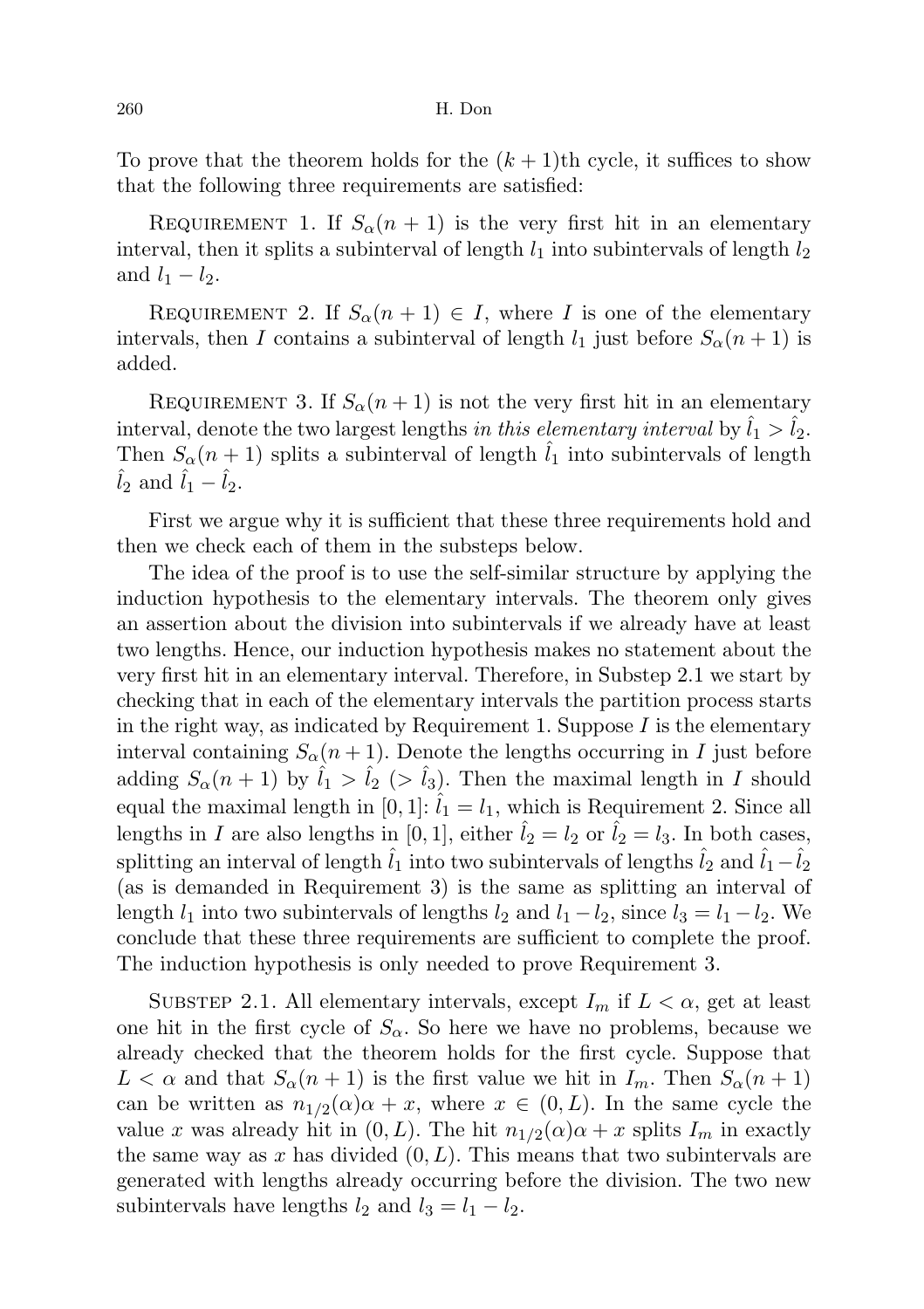To prove that the theorem holds for the  $(k+1)$ th cycle, it suffices to show that the following three requirements are satisfied:

REQUIREMENT 1. If  $S_\alpha(n+1)$  is the very first hit in an elementary interval, then it splits a subinterval of length  $l_1$  into subintervals of length  $l_2$ and  $l_1 - l_2$ .

REQUIREMENT 2. If  $S_\alpha(n+1) \in I$ , where I is one of the elementary intervals, then I contains a subinterval of length  $l_1$  just before  $S_\alpha(n+1)$  is added.

REQUIREMENT 3. If  $S_\alpha(n+1)$  is not the very first hit in an elementary interval, denote the two largest lengths in this elementary interval by  $\hat{l}_1 > \hat{l}_2$ . Then  $S_{\alpha}(n+1)$  splits a subinterval of length  $l_1$  into subintervals of length  $l_2$  and  $l_1 - l_2$ .

First we argue why it is sufficient that these three requirements hold and then we check each of them in the substeps below.

The idea of the proof is to use the self-similar structure by applying the induction hypothesis to the elementary intervals. The theorem only gives an assertion about the division into subintervals if we already have at least two lengths. Hence, our induction hypothesis makes no statement about the very first hit in an elementary interval. Therefore, in Substep 2.1 we start by checking that in each of the elementary intervals the partition process starts in the right way, as indicated by Requirement 1. Suppose  $I$  is the elementary interval containing  $S_{\alpha}(n+1)$ . Denote the lengths occurring in I just before adding  $S_{\alpha}(n+1)$  by  $\hat{l}_1 > \hat{l}_2$  (>  $\hat{l}_3$ ). Then the maximal length in I should equal the maximal length in [0, 1]:  $\hat{l}_1 = l_1$ , which is Requirement 2. Since all lengths in I are also lengths in [0, 1], either  $\hat{l}_2 = l_2$  or  $\hat{l}_2 = l_3$ . In both cases, splitting an interval of length  $\hat{l}_1$  into two subintervals of lengths  $\hat{l}_2$  and  $\hat{l}_1-\hat{l}_2$ (as is demanded in Requirement 3) is the same as splitting an interval of length  $l_1$  into two subintervals of lengths  $l_2$  and  $l_1 - l_2$ , since  $l_3 = l_1 - l_2$ . We conclude that these three requirements are sufficient to complete the proof. The induction hypothesis is only needed to prove Requirement 3.

SUBSTEP 2.1. All elementary intervals, except  $I_m$  if  $L < \alpha$ , get at least one hit in the first cycle of  $S_\alpha$ . So here we have no problems, because we already checked that the theorem holds for the first cycle. Suppose that  $L < \alpha$  and that  $S_{\alpha}(n+1)$  is the first value we hit in  $I_m$ . Then  $S_{\alpha}(n+1)$ can be written as  $n_{1/2}(\alpha)\alpha + x$ , where  $x \in (0, L)$ . In the same cycle the value x was already hit in  $(0, L)$ . The hit  $n_{1/2}(\alpha)\alpha + x$  splits  $I_m$  in exactly the same way as x has divided  $(0, L)$ . This means that two subintervals are generated with lengths already occurring before the division. The two new subintervals have lengths  $l_2$  and  $l_3 = l_1 - l_2$ .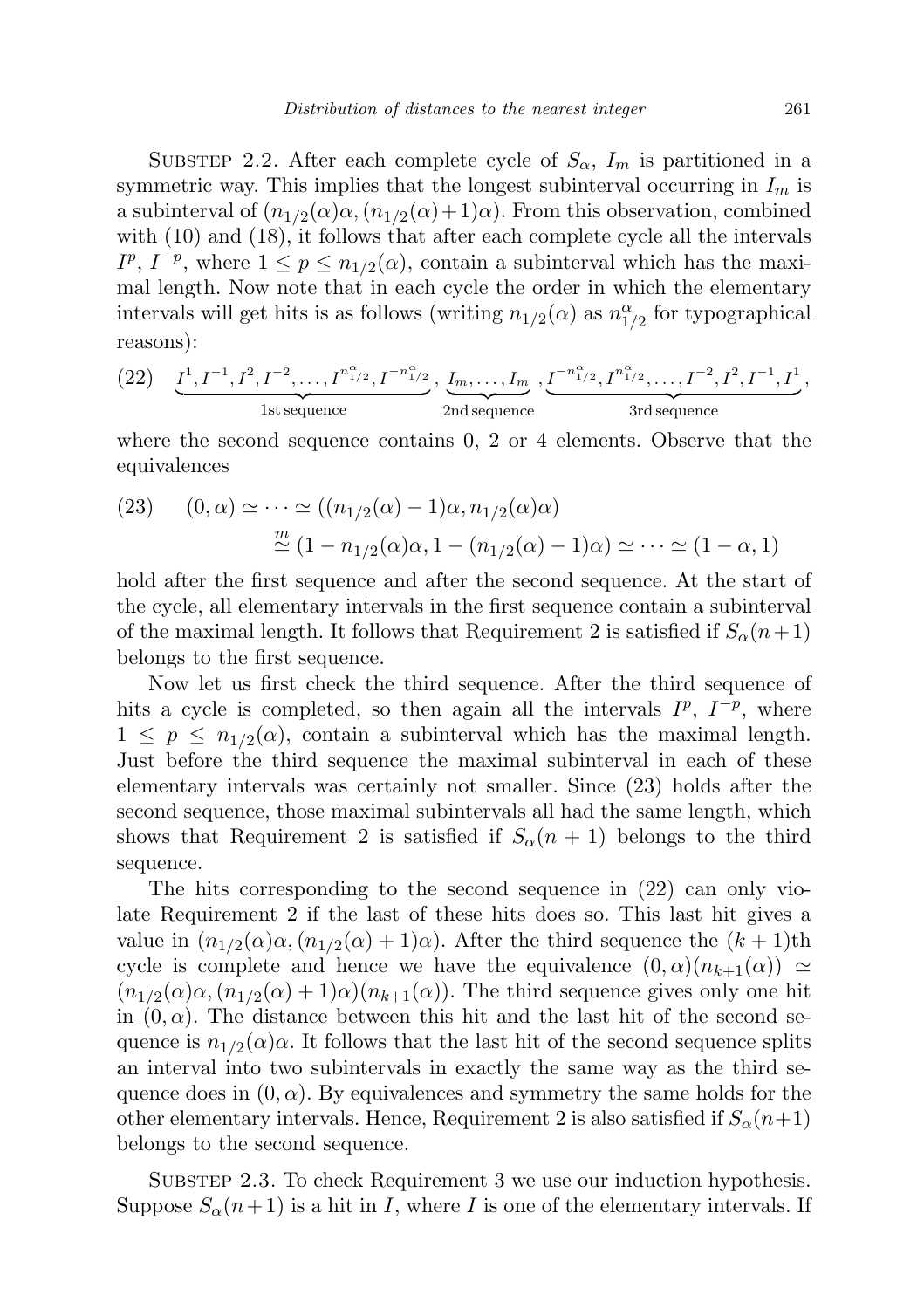SUBSTEP 2.2. After each complete cycle of  $S_{\alpha}$ ,  $I_{m}$  is partitioned in a symmetric way. This implies that the longest subinterval occurring in  $I_m$  is a subinterval of  $(n_{1/2}(\alpha) \alpha, (n_{1/2}(\alpha) + 1)\alpha)$ . From this observation, combined with  $(10)$  and  $(18)$ , it follows that after each complete cycle all the intervals  $I^p$ ,  $I^{-p}$ , where  $1 \leq p \leq n_{1/2}(\alpha)$ , contain a subinterval which has the maximal length. Now note that in each cycle the order in which the elementary intervals will get hits is as follows (writing  $n_{1/2}(\alpha)$  as  $n_{1/2}^{\alpha}$  for typographical reasons):

(22) 
$$
\underbrace{I^1, I^{-1}, I^2, I^{-2}, \dots, I^{n_{1/2}^{\alpha}}, I^{-n_{1/2}^{\alpha}}}_{\text{1st sequence}}, \underbrace{I_{m}, \dots, I_{m}}_{\text{2nd sequence}}, \underbrace{I^{-n_{1/2}^{\alpha}}, I^{n_{1/2}^{\alpha}}, \dots, I^{-2}, I^2, I^{-1}, I^1}_{\text{3rd sequence}},
$$

where the second sequence contains 0, 2 or 4 elements. Observe that the equivalences

(23) 
$$
(0, \alpha) \simeq \cdots \simeq ((n_{1/2}(\alpha) - 1)\alpha, n_{1/2}(\alpha)\alpha)
$$

$$
\stackrel{m}{\simeq} (1 - n_{1/2}(\alpha)\alpha, 1 - (n_{1/2}(\alpha) - 1)\alpha) \simeq \cdots \simeq (1 - \alpha, 1)
$$

hold after the first sequence and after the second sequence. At the start of the cycle, all elementary intervals in the first sequence contain a subinterval of the maximal length. It follows that Requirement 2 is satisfied if  $S_\alpha(n+1)$ belongs to the first sequence.

Now let us first check the third sequence. After the third sequence of hits a cycle is completed, so then again all the intervals  $I^p$ ,  $I^{-p}$ , where  $1 \leq p \leq n_{1/2}(\alpha)$ , contain a subinterval which has the maximal length. Just before the third sequence the maximal subinterval in each of these elementary intervals was certainly not smaller. Since (23) holds after the second sequence, those maximal subintervals all had the same length, which shows that Requirement 2 is satisfied if  $S_{\alpha}(n+1)$  belongs to the third sequence.

The hits corresponding to the second sequence in (22) can only violate Requirement 2 if the last of these hits does so. This last hit gives a value in  $(n_{1/2}(\alpha)\alpha, (n_{1/2}(\alpha) + 1)\alpha)$ . After the third sequence the  $(k + 1)$ th cycle is complete and hence we have the equivalence  $(0, \alpha)(n_{k+1}(\alpha)) \simeq$  $(n_{1/2}(\alpha)\alpha, (n_{1/2}(\alpha) + 1)\alpha)(n_{k+1}(\alpha))$ . The third sequence gives only one hit in  $(0, \alpha)$ . The distance between this hit and the last hit of the second sequence is  $n_{1/2}(\alpha)\alpha$ . It follows that the last hit of the second sequence splits an interval into two subintervals in exactly the same way as the third sequence does in  $(0, \alpha)$ . By equivalences and symmetry the same holds for the other elementary intervals. Hence, Requirement 2 is also satisfied if  $S_\alpha(n+1)$ belongs to the second sequence.

SUBSTEP 2.3. To check Requirement 3 we use our induction hypothesis. Suppose  $S_{\alpha}(n+1)$  is a hit in I, where I is one of the elementary intervals. If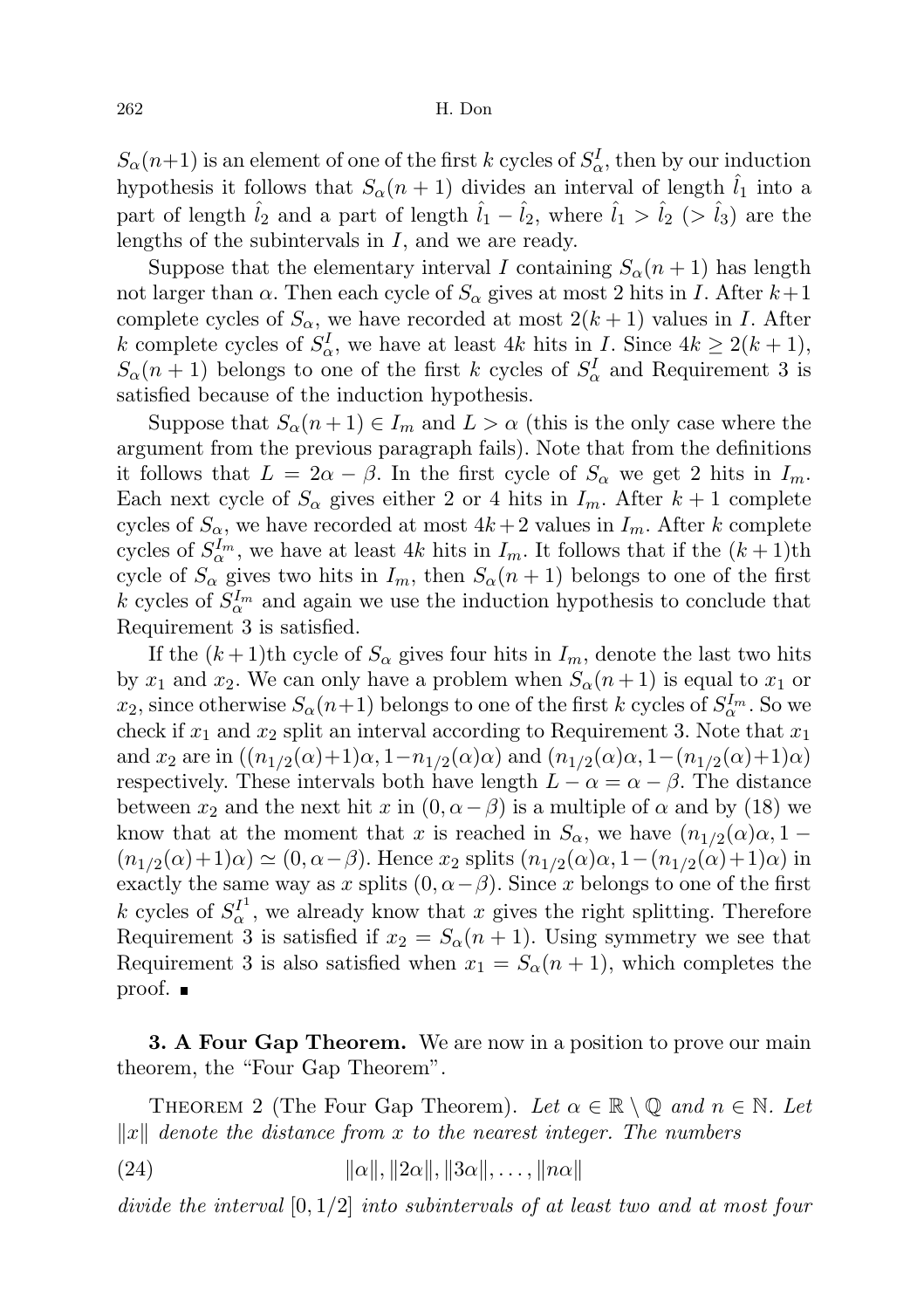$S_{\alpha}(n+1)$  is an element of one of the first k cycles of  $S_{\alpha}^{I}$ , then by our induction hypothesis it follows that  $S_{\alpha}(n+1)$  divides an interval of length  $l_1$  into a part of length  $\hat{l}_2$  and a part of length  $\hat{l}_1 - \hat{l}_2$ , where  $\hat{l}_1 > \hat{l}_2$  (>  $\hat{l}_3$ ) are the lengths of the subintervals in I, and we are ready.

Suppose that the elementary interval I containing  $S_{\alpha}(n+1)$  has length not larger than  $\alpha$ . Then each cycle of  $S_{\alpha}$  gives at most 2 hits in I. After  $k+1$ complete cycles of  $S_\alpha$ , we have recorded at most  $2(k+1)$  values in I. After k complete cycles of  $S^I_{\alpha}$ , we have at least 4k hits in I. Since  $4k \geq 2(k+1)$ ,  $S_{\alpha}(n+1)$  belongs to one of the first k cycles of  $S_{\alpha}^{I}$  and Requirement 3 is satisfied because of the induction hypothesis.

Suppose that  $S_{\alpha}(n+1) \in I_m$  and  $L > \alpha$  (this is the only case where the argument from the previous paragraph fails). Note that from the definitions it follows that  $L = 2\alpha - \beta$ . In the first cycle of  $S_{\alpha}$  we get 2 hits in  $I_m$ . Each next cycle of  $S_{\alpha}$  gives either 2 or 4 hits in  $I_m$ . After  $k+1$  complete cycles of  $S_{\alpha}$ , we have recorded at most  $4k+2$  values in  $I_m$ . After k complete cycles of  $S_{\alpha}^{I_m}$ , we have at least 4k hits in  $I_m$ . It follows that if the  $(k+1)$ th cycle of  $S_{\alpha}$  gives two hits in  $I_m$ , then  $S_{\alpha}(n+1)$  belongs to one of the first k cycles of  $S_{\alpha}^{I_m}$  and again we use the induction hypothesis to conclude that Requirement 3 is satisfied.

If the  $(k+1)$ th cycle of  $S_\alpha$  gives four hits in  $I_m$ , denote the last two hits by  $x_1$  and  $x_2$ . We can only have a problem when  $S_\alpha(n+1)$  is equal to  $x_1$  or  $x_2$ , since otherwise  $S_\alpha(n+1)$  belongs to one of the first k cycles of  $S_\alpha^{I_m}$ . So we check if  $x_1$  and  $x_2$  split an interval according to Requirement 3. Note that  $x_1$ and  $x_2$  are in  $((n_{1/2}(\alpha)+1)\alpha, 1-n_{1/2}(\alpha)\alpha)$  and  $(n_{1/2}(\alpha)\alpha, 1-(n_{1/2}(\alpha)+1)\alpha)$ respectively. These intervals both have length  $L - \alpha = \alpha - \beta$ . The distance between  $x_2$  and the next hit x in  $(0, \alpha - \beta)$  is a multiple of  $\alpha$  and by (18) we know that at the moment that x is reached in  $S_{\alpha}$ , we have  $(n_{1/2}(\alpha)\alpha, 1-\alpha)$  $(n_{1/2}(\alpha)+1)\alpha) \simeq (0, \alpha-\beta)$ . Hence  $x_2$  splits  $(n_{1/2}(\alpha)\alpha, 1-(n_{1/2}(\alpha)+1)\alpha)$  in exactly the same way as x splits  $(0, \alpha - \beta)$ . Since x belongs to one of the first k cycles of  $S_{\alpha}^{I^1}$ , we already know that x gives the right splitting. Therefore Requirement 3 is satisfied if  $x_2 = S_\alpha(n+1)$ . Using symmetry we see that Requirement 3 is also satisfied when  $x_1 = S_\alpha(n+1)$ , which completes the proof. ■

**3. A Four Gap Theorem.** We are now in a position to prove our main theorem, the "Four Gap Theorem".

THEOREM 2 (The Four Gap Theorem). Let  $\alpha \in \mathbb{R} \setminus \mathbb{Q}$  and  $n \in \mathbb{N}$ . Let  $\Vert x \Vert$  denote the distance from x to the nearest integer. The numbers

(24)  $\|\alpha\|, \|2\alpha\|, \|3\alpha\|, \ldots, \|n\alpha\|$ 

divide the interval  $[0, 1/2]$  into subintervals of at least two and at most four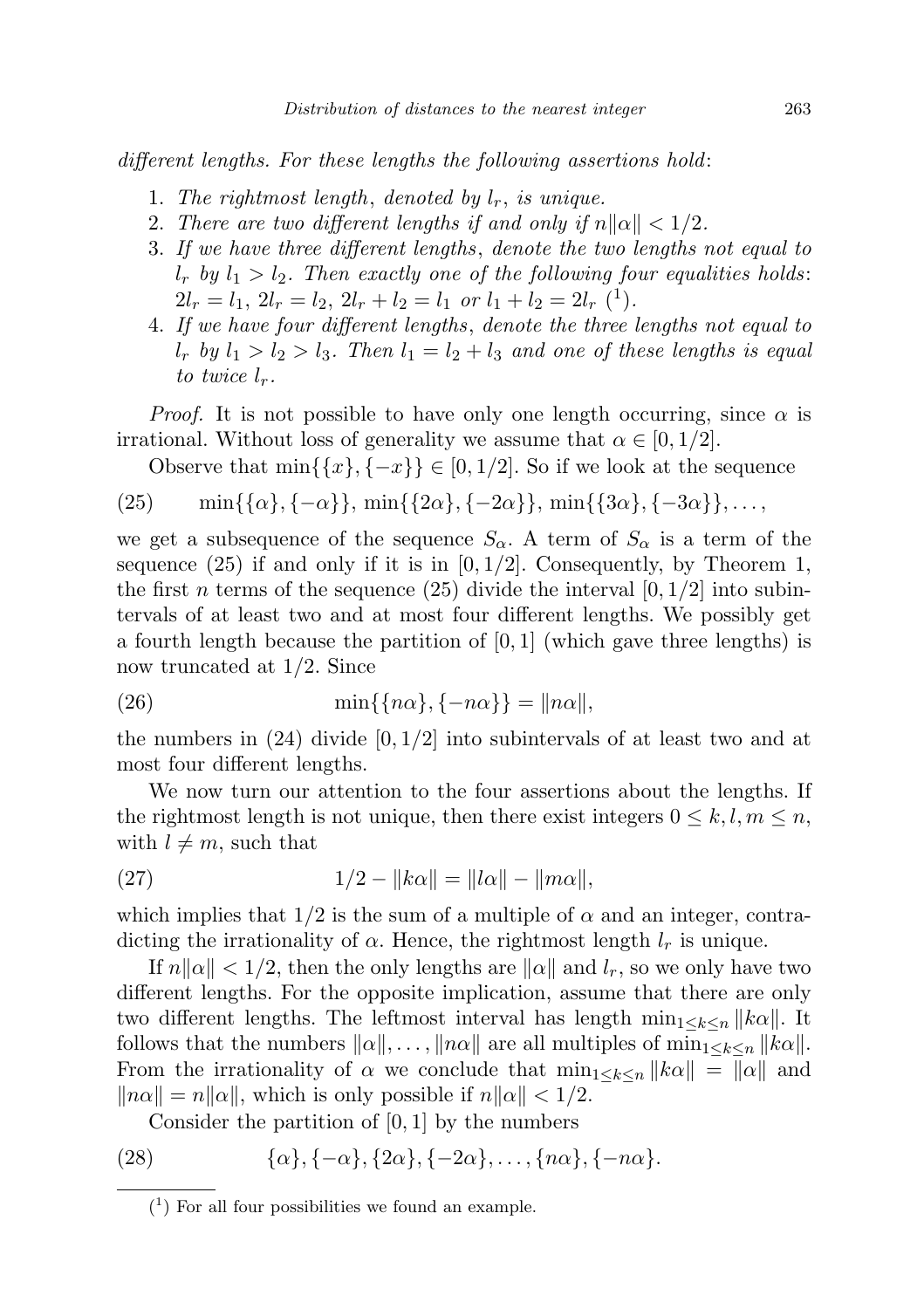different lengths. For these lengths the following assertions hold:

- 1. The rightmost length, denoted by  $l_r$ , is unique.
- 2. There are two different lengths if and only if  $n||\alpha|| < 1/2$ .
- 3. If we have three different lengths, denote the two lengths not equal to  $l_r$  by  $l_1 > l_2$ . Then exactly one of the following four equalities holds:  $2l_r = l_1, 2l_r = l_2, 2l_r + l_2 = l_1$  or  $l_1 + l_2 = 2l_r$  (<sup>1</sup>).
- 4. If we have four different lengths, denote the three lengths not equal to  $l_r$  by  $l_1 > l_2 > l_3$ . Then  $l_1 = l_2 + l_3$  and one of these lengths is equal to twice  $l_r$ .

*Proof.* It is not possible to have only one length occurring, since  $\alpha$  is irrational. Without loss of generality we assume that  $\alpha \in [0, 1/2]$ .

Observe that  $\min\{\{x\}, \{-x\}\}\in [0, 1/2]$ . So if we look at the sequence

(25) 
$$
\min\{\{\alpha\}, \{-\alpha\}\}, \min\{\{2\alpha\}, \{-2\alpha\}\}, \min\{\{3\alpha\}, \{-3\alpha\}\}, \ldots
$$

we get a subsequence of the sequence  $S_{\alpha}$ . A term of  $S_{\alpha}$  is a term of the sequence  $(25)$  if and only if it is in  $[0, 1/2]$ . Consequently, by Theorem 1, the first n terms of the sequence (25) divide the interval  $[0, 1/2]$  into subintervals of at least two and at most four different lengths. We possibly get a fourth length because the partition of  $[0, 1]$  (which gave three lengths) is now truncated at 1/2. Since

$$
(26) \qquad \qquad \min\{\{n\alpha\},\{-n\alpha\}\} = \|n\alpha\|,
$$

the numbers in  $(24)$  divide  $[0, 1/2]$  into subintervals of at least two and at most four different lengths.

We now turn our attention to the four assertions about the lengths. If the rightmost length is not unique, then there exist integers  $0 \leq k, l, m \leq n$ , with  $l \neq m$ , such that

(27) 
$$
1/2 - ||k\alpha|| = ||l\alpha|| - ||m\alpha||,
$$

which implies that  $1/2$  is the sum of a multiple of  $\alpha$  and an integer, contradicting the irrationality of  $\alpha$ . Hence, the rightmost length  $l_r$  is unique.

If  $n\|\alpha\| < 1/2$ , then the only lengths are  $\|\alpha\|$  and  $l_r$ , so we only have two different lengths. For the opposite implication, assume that there are only two different lengths. The leftmost interval has length  $\min_{1 \leq k \leq n} ||k\alpha||$ . It follows that the numbers  $\|\alpha\|, \ldots, \|n\alpha\|$  are all multiples of  $\min_{1 \leq k \leq n} \|k\alpha\|$ . From the irrationality of  $\alpha$  we conclude that  $\min_{1 \leq k \leq n} ||k\alpha|| = ||\alpha||$  and  $\|n\alpha\| = n\|\alpha\|$ , which is only possible if  $n\|\alpha\| < 1/2$ .

Consider the partition of  $[0, 1]$  by the numbers

(28) 
$$
\{\alpha\}, \{-\alpha\}, \{2\alpha\}, \{-2\alpha\}, \ldots, \{n\alpha\}, \{-n\alpha\}.
$$

 $(1)$  For all four possibilities we found an example.